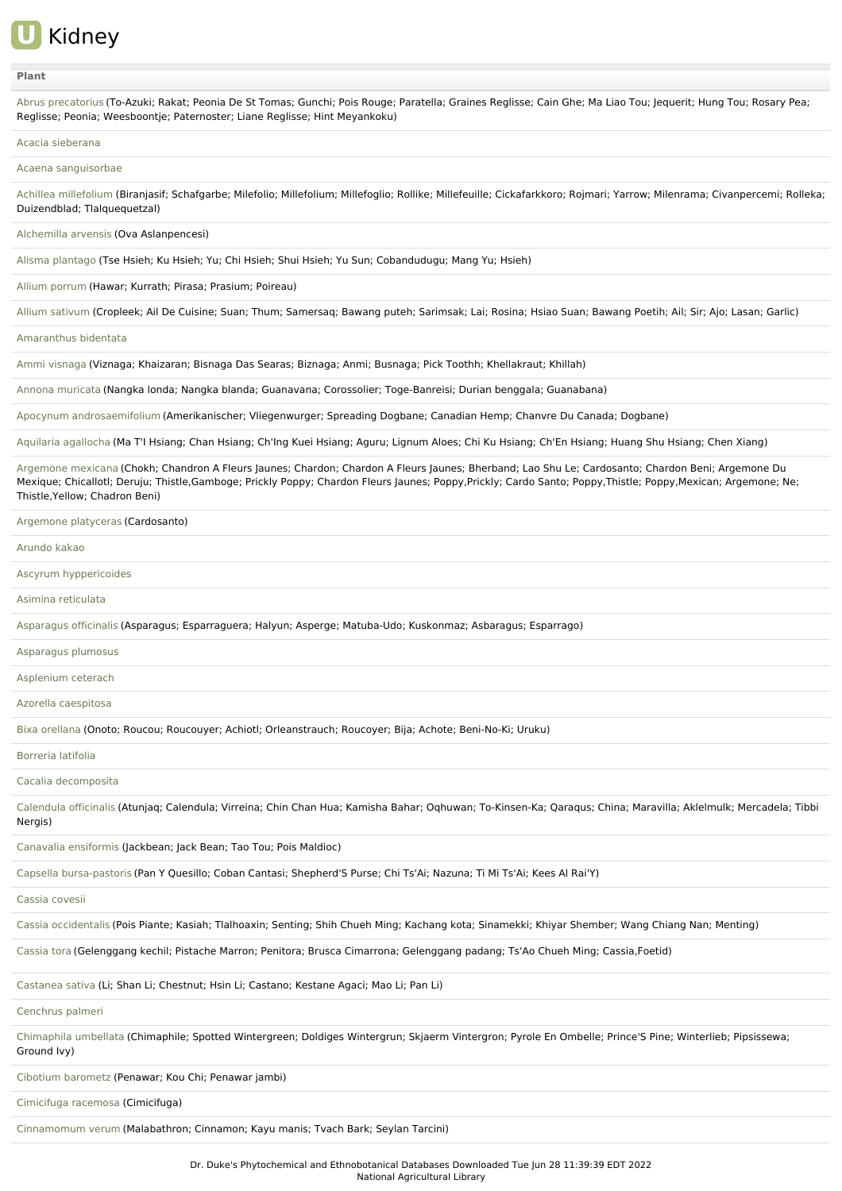

## **[Plant](file:///phytochem/ethnoActivity/ethnoActivityListAll?max=&offset=0&count=&filter=&sort=plant&order=asc)**

Abrus [precatorius](file:///phytochem/ethnoPlants/show/132) (To-Azuki; Rakat; Peonia De St Tomas; Gunchi; Pois Rouge; Paratella; Graines Reglisse; Cain Ghe; Ma Liao Tou; Jequerit; Hung Tou; Rosary Pea; Reglisse; Peonia; Weesboontje; Paternoster; Liane Reglisse; Hint Meyankoku)

## Acacia [sieberana](file:///phytochem/ethnoPlants/show/1023)

Acaena [sanguisorbae](file:///phytochem/ethnoPlants/show/3942)

Achillea [millefolium](file:///phytochem/ethnoPlants/show/1) (Biranjasif; Schafgarbe; Milefolio; Millefolium; Millefoglio; Rollike; Millefeuille; Cickafarkkoro; Rojmari; Yarrow; Milenrama; Civanpercemi; Rolleka; Duizendblad; Tlalquequetzal)

[Alchemilla](file:///phytochem/ethnoPlants/show/3658) arvensis (Ova Aslanpencesi)

Alisma [plantago](file:///phytochem/ethnoPlants/show/2620) (Tse Hsieh; Ku Hsieh; Yu; Chi Hsieh; Shui Hsieh; Yu Sun; Cobandudugu; Mang Yu; Hsieh)

Allium [porrum](file:///phytochem/ethnoPlants/show/2508) (Hawar; Kurrath; Pirasa; Prasium; Poireau)

Allium [sativum](file:///phytochem/ethnoPlants/show/477) (Cropleek; Ail De Cuisine; Suan; Thum; Samersaq; Bawang puteh; Sarimsak; Lai; Rosina; Hsiao Suan; Bawang Poetih; Ail; Sir; Ajo; Lasan; Garlic)

[Amaranthus](file:///phytochem/ethnoPlants/show/1385) bidentata

Ammi [visnaga](file:///phytochem/ethnoPlants/show/1558) (Viznaga; Khaizaran; Bisnaga Das Searas; Biznaga; Anmi; Busnaga; Pick Toothh; Khellakraut; Khillah)

Annona [muricata](file:///phytochem/ethnoPlants/show/2921) (Nangka londa; Nangka blanda; Guanavana; Corossolier; Toge-Banreisi; Durian benggala; Guanabana)

Apocynum [androsaemifolium](file:///phytochem/ethnoPlants/show/565) (Amerikanischer; Vliegenwurger; Spreading Dogbane; Canadian Hemp; Chanvre Du Canada; Dogbane)

Aquilaria [agallocha](file:///phytochem/ethnoPlants/show/18) (Ma T'I Hsiang; Chan Hsiang; Ch'Ing Kuei Hsiang; Aguru; Lignum Aloes; Chi Ku Hsiang; Ch'En Hsiang; Huang Shu Hsiang; Chen Xiang)

[Argemone](file:///phytochem/ethnoPlants/show/569) mexicana (Chokh; Chandron A Fleurs Jaunes; Chardon; Chardon A Fleurs Jaunes; Bherband; Lao Shu Le; Cardosanto; Chardon Beni; Argemone Du Mexique; Chicallotl; Deruju; Thistle,Gamboge; Prickly Poppy; Chardon Fleurs Jaunes; Poppy,Prickly; Cardo Santo; Poppy,Thistle; Poppy,Mexican; Argemone; Ne; Thistle,Yellow; Chadron Beni)

[Argemone](file:///phytochem/ethnoPlants/show/1591) platyceras (Cardosanto)

## [Arundo](file:///phytochem/ethnoPlants/show/3996) kakao

Ascyrum [hyppericoides](file:///phytochem/ethnoPlants/show/12986)

Asimina [reticulata](file:///phytochem/ethnoPlants/show/12196)

[Asparagus](file:///phytochem/ethnoPlants/show/422) officinalis (Asparagus; Esparraguera; Halyun; Asperge; Matuba-Udo; Kuskonmaz; Asbaragus; Esparrago)

[Asparagus](file:///phytochem/ethnoPlants/show/7936) plumosus

[Asplenium](file:///phytochem/ethnoPlants/show/2933) ceterach

Azorella [caespitosa](file:///phytochem/ethnoPlants/show/7937)

Bixa [orellana](file:///phytochem/ethnoPlants/show/584) (Onoto; Roucou; Roucouyer; Achiotl; Orleanstrauch; Roucoyer; Bija; Achote; Beni-No-Ki; Uruku)

## [Borreria](file:///phytochem/ethnoPlants/show/3524) latifolia

Cacalia [decomposita](file:///phytochem/ethnoPlants/show/5852)

[Calendula](file:///phytochem/ethnoPlants/show/869) officinalis (Atunjaq; Calendula; Virreina; Chin Chan Hua; Kamisha Bahar; Oqhuwan; To-Kinsen-Ka; Qaraqus; China; Maravilla; Aklelmulk; Mercadela; Tibbi Nergis)

Canavalia [ensiformis](file:///phytochem/ethnoPlants/show/1612) (Jackbean; Jack Bean; Tao Tou; Pois Maldioc)

Capsella [bursa-pastoris](file:///phytochem/ethnoPlants/show/2288) (Pan Y Quesillo; Coban Cantasi; Shepherd'S Purse; Chi Ts'Ai; Nazuna; Ti Mi Ts'Ai; Kees Al Rai'Y)

[Cassia](file:///phytochem/ethnoPlants/show/2381) covesii

Cassia [occidentalis](file:///phytochem/ethnoPlants/show/152) (Pois Piante; Kasiah; Tlalhoaxin; Senting; Shih Chueh Ming; Kachang kota; Sinamekki; Khiyar Shember; Wang Chiang Nan; Menting)

[Cassia](file:///phytochem/ethnoPlants/show/3326) tora (Gelenggang kechil; Pistache Marron; Penitora; Brusca Cimarrona; Gelenggang padang; Ts'Ao Chueh Ming; Cassia,Foetid)

[Castanea](file:///phytochem/ethnoPlants/show/2963) sativa (Li; Shan Li; Chestnut; Hsin Li; Castano; Kestane Agaci; Mao Li; Pan Li)

[Cenchrus](file:///phytochem/ethnoPlants/show/1616) palmeri

[Chimaphila](file:///phytochem/ethnoPlants/show/1249) umbellata (Chimaphile; Spotted Wintergreen; Doldiges Wintergrun; Skjaerm Vintergron; Pyrole En Ombelle; Prince'S Pine; Winterlieb; Pipsissewa; Ground Ivy)

Cibotium [barometz](file:///phytochem/ethnoPlants/show/428) (Penawar; Kou Chi; Penawar jambi)

[Cimicifuga](file:///phytochem/ethnoPlants/show/1251) racemosa (Cimicifuga)

[Cinnamomum](file:///phytochem/ethnoPlants/show/1398) verum (Malabathron; Cinnamon; Kayu manis; Tvach Bark; Seylan Tarcini)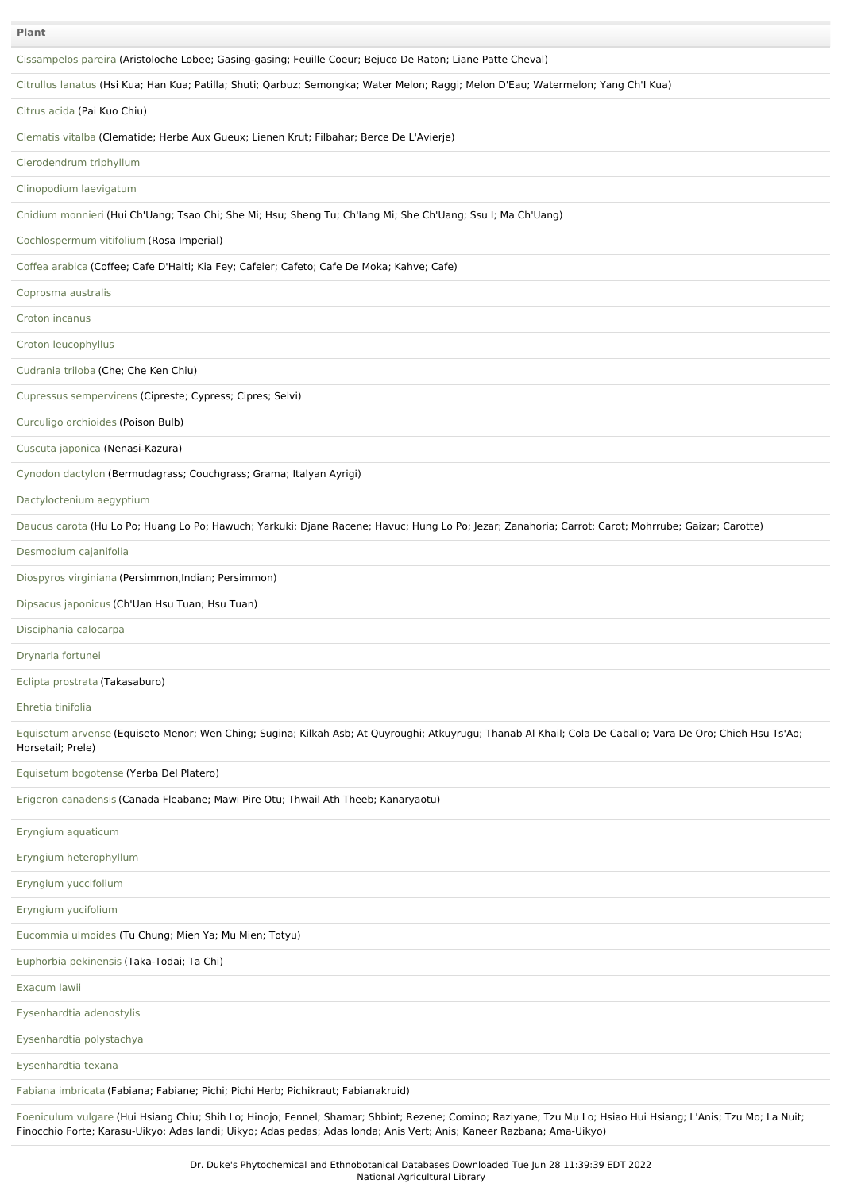| Plant                                                                                                                                                                                                                                                                                  |
|----------------------------------------------------------------------------------------------------------------------------------------------------------------------------------------------------------------------------------------------------------------------------------------|
| Cissampelos pareira (Aristoloche Lobee; Gasing-gasing; Feuille Coeur; Bejuco De Raton; Liane Patte Cheval)                                                                                                                                                                             |
| Citrullus lanatus (Hsi Kua; Han Kua; Patilla; Shuti; Qarbuz; Semongka; Water Melon; Raggi; Melon D'Eau; Watermelon; Yang Ch'l Kua)                                                                                                                                                     |
| Citrus acida (Pai Kuo Chiu)                                                                                                                                                                                                                                                            |
| Clematis vitalba (Clematide; Herbe Aux Gueux; Lienen Krut; Filbahar; Berce De L'Avierje)                                                                                                                                                                                               |
| Clerodendrum triphyllum                                                                                                                                                                                                                                                                |
| Clinopodium laevigatum                                                                                                                                                                                                                                                                 |
| Cnidium monnieri (Hui Ch'Uang; Tsao Chi; She Mi; Hsu; Sheng Tu; Ch'Iang Mi; She Ch'Uang; Ssu I; Ma Ch'Uang)                                                                                                                                                                            |
| Cochlospermum vitifolium (Rosa Imperial)                                                                                                                                                                                                                                               |
| Coffea arabica (Coffee; Cafe D'Haiti; Kia Fey; Cafeier; Cafeto; Cafe De Moka; Kahve; Cafe)                                                                                                                                                                                             |
| Coprosma australis                                                                                                                                                                                                                                                                     |
| Croton incanus                                                                                                                                                                                                                                                                         |
| Croton leucophyllus                                                                                                                                                                                                                                                                    |
| Cudrania triloba (Che; Che Ken Chiu)                                                                                                                                                                                                                                                   |
| Cupressus sempervirens (Cipreste; Cypress; Cipres; Selvi)                                                                                                                                                                                                                              |
| Curculigo orchioides (Poison Bulb)                                                                                                                                                                                                                                                     |
| Cuscuta japonica (Nenasi-Kazura)                                                                                                                                                                                                                                                       |
| Cynodon dactylon (Bermudagrass; Couchgrass; Grama; Italyan Ayrigi)                                                                                                                                                                                                                     |
| Dactyloctenium aegyptium                                                                                                                                                                                                                                                               |
| Daucus carota (Hu Lo Po; Huang Lo Po; Hawuch; Yarkuki; Djane Racene; Havuc; Hung Lo Po; Jezar; Zanahoria; Carrot; Carot; Mohrrube; Gaizar; Carotte)                                                                                                                                    |
| Desmodium cajanifolia                                                                                                                                                                                                                                                                  |
| Diospyros virginiana (Persimmon, Indian; Persimmon)                                                                                                                                                                                                                                    |
| Dipsacus japonicus (Ch'Uan Hsu Tuan; Hsu Tuan)                                                                                                                                                                                                                                         |
| Disciphania calocarpa                                                                                                                                                                                                                                                                  |
| Drynaria fortunei                                                                                                                                                                                                                                                                      |
| Eclipta prostrata (Takasaburo)                                                                                                                                                                                                                                                         |
| Ehretia tinifolia                                                                                                                                                                                                                                                                      |
| Equisetum arvense (Equiseto Menor; Wen Ching; Sugina; Kilkah Asb; At Quyroughi; Atkuyrugu; Thanab Al Khail; Cola De Caballo; Vara De Oro; Chieh Hsu Ts'Ao;<br>Horsetail; Prele)                                                                                                        |
| Equisetum bogotense (Yerba Del Platero)                                                                                                                                                                                                                                                |
| Erigeron canadensis (Canada Fleabane; Mawi Pire Otu; Thwail Ath Theeb; Kanaryaotu)                                                                                                                                                                                                     |
| Eryngium aquaticum                                                                                                                                                                                                                                                                     |
| Eryngium heterophyllum                                                                                                                                                                                                                                                                 |
| Eryngium yuccifolium                                                                                                                                                                                                                                                                   |
| Eryngium yucifolium                                                                                                                                                                                                                                                                    |
| Eucommia ulmoides (Tu Chung; Mien Ya; Mu Mien; Totyu)                                                                                                                                                                                                                                  |
| Euphorbia pekinensis (Taka-Todai; Ta Chi)                                                                                                                                                                                                                                              |
| Exacum lawii                                                                                                                                                                                                                                                                           |
| Eysenhardtia adenostylis                                                                                                                                                                                                                                                               |
| Eysenhardtia polystachya                                                                                                                                                                                                                                                               |
| Eysenhardtia texana                                                                                                                                                                                                                                                                    |
| Fabiana imbricata (Fabiana; Fabiane; Pichi; Pichi Herb; Pichikraut; Fabianakruid)                                                                                                                                                                                                      |
| Foeniculum vulgare (Hui Hsiang Chiu; Shih Lo; Hinojo; Fennel; Shamar; Shbint; Rezene; Comino; Raziyane; Tzu Mu Lo; Hsiao Hui Hsiang; L'Anis; Tzu Mo; La Nuit;<br>Finocchio Forte; Karasu-Uikyo; Adas landi; Uikyo; Adas pedas; Adas londa; Anis Vert; Anis; Kaneer Razbana; Ama-Uikyo) |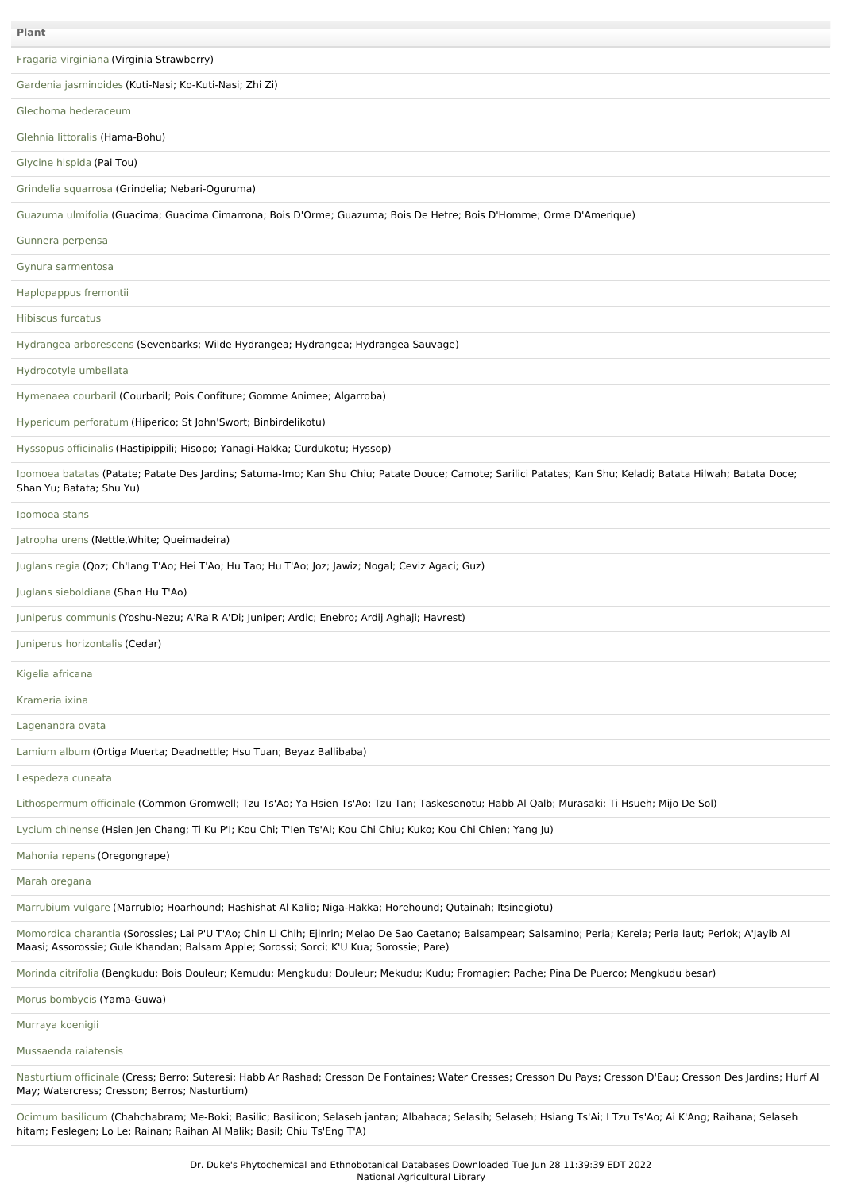| Plant                                                                                                                                                                                                                                                      |
|------------------------------------------------------------------------------------------------------------------------------------------------------------------------------------------------------------------------------------------------------------|
|                                                                                                                                                                                                                                                            |
| Fragaria virginiana (Virginia Strawberry)                                                                                                                                                                                                                  |
| Gardenia jasminoides (Kuti-Nasi; Ko-Kuti-Nasi; Zhi Zi)                                                                                                                                                                                                     |
| Glechoma hederaceum                                                                                                                                                                                                                                        |
| Glehnia littoralis (Hama-Bohu)                                                                                                                                                                                                                             |
| Glycine hispida (Pai Tou)                                                                                                                                                                                                                                  |
| Grindelia squarrosa (Grindelia; Nebari-Oguruma)                                                                                                                                                                                                            |
| Guazuma ulmifolia (Guacima; Guacima Cimarrona; Bois D'Orme; Guazuma; Bois De Hetre; Bois D'Homme; Orme D'Amerique)                                                                                                                                         |
| Gunnera perpensa                                                                                                                                                                                                                                           |
| Gynura sarmentosa                                                                                                                                                                                                                                          |
| Haplopappus fremontii                                                                                                                                                                                                                                      |
| <b>Hibiscus furcatus</b>                                                                                                                                                                                                                                   |
| Hydrangea arborescens (Sevenbarks; Wilde Hydrangea; Hydrangea; Hydrangea Sauvage)                                                                                                                                                                          |
| Hydrocotyle umbellata                                                                                                                                                                                                                                      |
| Hymenaea courbaril (Courbaril; Pois Confiture; Gomme Animee; Algarroba)                                                                                                                                                                                    |
| Hypericum perforatum (Hiperico; St John'Swort; Binbirdelikotu)                                                                                                                                                                                             |
| Hyssopus officinalis (Hastipippili; Hisopo; Yanagi-Hakka; Curdukotu; Hyssop)                                                                                                                                                                               |
| Ipomoea batatas (Patate; Patate Des Jardins; Satuma-Imo; Kan Shu Chiu; Patate Douce; Camote; Sarilici Patates; Kan Shu; Keladi; Batata Hilwah; Batata Doce;<br>Shan Yu; Batata; Shu Yu)                                                                    |
| Ipomoea stans                                                                                                                                                                                                                                              |
| Jatropha urens (Nettle, White; Queimadeira)                                                                                                                                                                                                                |
| Juglans regia (Qoz; Ch'lang T'Ao; Hei T'Ao; Hu Tao; Hu T'Ao; Joz; Jawiz; Nogal; Ceviz Agaci; Guz)                                                                                                                                                          |
| Juglans sieboldiana (Shan Hu T'Ao)                                                                                                                                                                                                                         |
| Juniperus communis (Yoshu-Nezu; A'Ra'R A'Di; Juniper; Ardic; Enebro; Ardij Aghaji; Havrest)                                                                                                                                                                |
| Juniperus horizontalis (Cedar)                                                                                                                                                                                                                             |
| Kigelia africana                                                                                                                                                                                                                                           |
| Krameria ixina                                                                                                                                                                                                                                             |
| Lagenandra ovata                                                                                                                                                                                                                                           |
| Lamium album (Ortiga Muerta; Deadnettle; Hsu Tuan; Beyaz Ballibaba)                                                                                                                                                                                        |
| Lespedeza cuneata                                                                                                                                                                                                                                          |
| Lithospermum officinale (Common Gromwell; Tzu Ts'Ao; Ya Hsien Ts'Ao; Tzu Tan; Taskesenotu; Habb Al Qalb; Murasaki; Ti Hsueh; Mijo De Sol)                                                                                                                  |
| Lycium chinense (Hsien Jen Chang; Ti Ku P'I; Kou Chi; T'len Ts'Ai; Kou Chi Chiu; Kuko; Kou Chi Chien; Yang Ju)                                                                                                                                             |
| Mahonia repens (Oregongrape)                                                                                                                                                                                                                               |
| Marah oregana                                                                                                                                                                                                                                              |
| Marrubium vulgare (Marrubio; Hoarhound; Hashishat Al Kalib; Niga-Hakka; Horehound; Qutainah; Itsinegiotu)                                                                                                                                                  |
| Momordica charantia (Sorossies; Lai P'U T'Ao; Chin Li Chih; Ejinrin; Melao De Sao Caetano; Balsampear; Salsamino; Peria; Kerela; Peria laut; Periok; A'Jayib Al<br>Maasi; Assorossie; Gule Khandan; Balsam Apple; Sorossi; Sorci; K'U Kua; Sorossie; Pare) |
| Morinda citrifolia (Bengkudu; Bois Douleur; Kemudu; Mengkudu; Douleur; Mekudu; Kudu; Fromagier; Pache; Pina De Puerco; Mengkudu besar)                                                                                                                     |
| Morus bombycis (Yama-Guwa)                                                                                                                                                                                                                                 |
| Murraya koenigii                                                                                                                                                                                                                                           |
| Mussaenda raiatensis                                                                                                                                                                                                                                       |
| Nasturtium officinale (Cress; Berro; Suteresi; Habb Ar Rashad; Cresson De Fontaines; Water Cresses; Cresson Du Pays; Cresson D'Eau; Cresson Des Jardins; Hurf Al<br>May; Watercress; Cresson; Berros; Nasturtium)                                          |

Ocimum [basilicum](file:///phytochem/ethnoPlants/show/527) (Chahchabram; Me-Boki; Basilic; Basilicon; Selaseh jantan; Albahaca; Selasih; Selaseh; Hsiang Ts'Ai; I Tzu Ts'Ao; Ai K'Ang; Raihana; Selaseh hitam; Feslegen; Lo Le; Rainan; Raihan Al Malik; Basil; Chiu Ts'Eng T'A)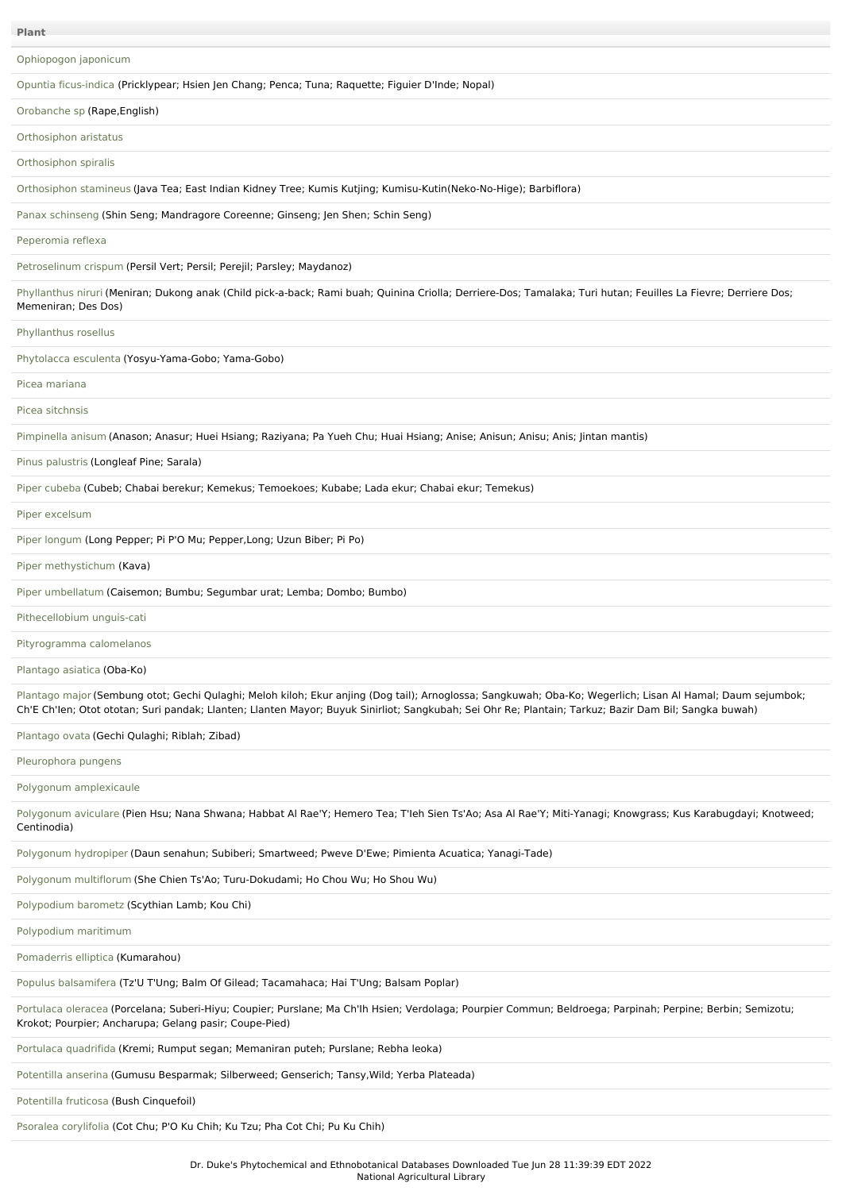|  | г |  |
|--|---|--|
|  |   |  |

[Ophiopogon](file:///phytochem/ethnoPlants/show/7735) japonicum

Opuntia [ficus-indica](file:///phytochem/ethnoPlants/show/4038) (Pricklypear; Hsien Jen Chang; Penca; Tuna; Raquette; Figuier D'Inde; Nopal)

[Orobanche](file:///phytochem/ethnoPlants/show/6612) sp (Rape,English)

[Orthosiphon](file:///phytochem/ethnoPlants/show/3678) aristatus

[Orthosiphon](file:///phytochem/ethnoPlants/show/4054) spiralis

[Orthosiphon](file:///phytochem/ethnoPlants/show/3680) stamineus (Java Tea; East Indian Kidney Tree; Kumis Kutjing; Kumisu-Kutin(Neko-No-Hige); Barbiflora)

Panax [schinseng](file:///phytochem/ethnoPlants/show/743) (Shin Seng; Mandragore Coreenne; Ginseng; Jen Shen; Schin Seng)

[Peperomia](file:///phytochem/ethnoPlants/show/7947) reflexa

[Petroselinum](file:///phytochem/ethnoPlants/show/212) crispum (Persil Vert; Persil; Perejil; Parsley; Maydanoz)

[Phyllanthus](file:///phytochem/ethnoPlants/show/958) niruri (Meniran; Dukong anak (Child pick-a-back; Rami buah; Quinina Criolla; Derriere-Dos; Tamalaka; Turi hutan; Feuilles La Fievre; Derriere Dos; Memeniran; Des Dos)

[Phyllanthus](file:///phytochem/ethnoPlants/show/7948) rosellus

[Phytolacca](file:///phytochem/ethnoPlants/show/92) esculenta (Yosyu-Yama-Gobo; Yama-Gobo)

Picea [mariana](file:///phytochem/ethnoPlants/show/6547)

Picea [sitchnsis](file:///phytochem/ethnoPlants/show/270)

[Pimpinella](file:///phytochem/ethnoPlants/show/1765) anisum (Anason; Anasur; Huei Hsiang; Raziyana; Pa Yueh Chu; Huai Hsiang; Anise; Anisun; Anisu; Anis; Jintan mantis)

Pinus [palustris](file:///phytochem/ethnoPlants/show/2242) (Longleaf Pine; Sarala)

Piper [cubeba](file:///phytochem/ethnoPlants/show/2248) (Cubeb; Chabai berekur; Kemekus; Temoekoes; Kubabe; Lada ekur; Chabai ekur; Temekus)

Piper [excelsum](file:///phytochem/ethnoPlants/show/962)

Piper [longum](file:///phytochem/ethnoPlants/show/759) (Long Pepper; Pi P'O Mu; Pepper,Long; Uzun Biber; Pi Po)

Piper [methystichum](file:///phytochem/ethnoPlants/show/459) (Kava)

Piper [umbellatum](file:///phytochem/ethnoPlants/show/843) (Caisemon; Bumbu; Segumbar urat; Lemba; Dombo; Bumbo)

[Pithecellobium](file:///phytochem/ethnoPlants/show/3139) unguis-cati

[Pityrogramma](file:///phytochem/ethnoPlants/show/1414) calomelanos

[Plantago](file:///phytochem/ethnoPlants/show/534) asiatica (Oba-Ko)

[Plantago](file:///phytochem/ethnoPlants/show/535) major (Sembung otot; Gechi Qulaghi; Meloh kiloh; Ekur anjing (Dog tail); Arnoglossa; Sangkuwah; Oba-Ko; Wegerlich; Lisan Al Hamal; Daum sejumbok; Ch'E Ch'Ien; Otot ototan; Suri pandak; Llanten; Llanten Mayor; Buyuk Sinirliot; Sangkubah; Sei Ohr Re; Plantain; Tarkuz; Bazir Dam Bil; Sangka buwah)

[Plantago](file:///phytochem/ethnoPlants/show/1377) ovata (Gechi Qulaghi; Riblah; Zibad)

[Pleurophora](file:///phytochem/ethnoPlants/show/12200) pungens

Polygonum [amplexicaule](file:///phytochem/ethnoPlants/show/12946)

[Polygonum](file:///phytochem/ethnoPlants/show/1777) aviculare (Pien Hsu; Nana Shwana; Habbat Al Rae'Y; Hemero Tea; T'leh Sien Ts'Ao; Asa Al Rae'Y; Miti-Yanagi; Knowgrass; Kus Karabugdayi; Knotweed; Centinodia)

[Polygonum](file:///phytochem/ethnoPlants/show/2683) hydropiper (Daun senahun; Subiberi; Smartweed; Pweve D'Ewe; Pimienta Acuatica; Yanagi-Tade)

Polygonum [multiflorum](file:///phytochem/ethnoPlants/show/1530) (She Chien Ts'Ao; Turu-Dokudami; Ho Chou Wu; Ho Shou Wu)

[Polypodium](file:///phytochem/ethnoPlants/show/7629) barometz (Scythian Lamb; Kou Chi)

[Polypodium](file:///phytochem/ethnoPlants/show/5903) maritimum

[Pomaderris](file:///phytochem/ethnoPlants/show/2853) elliptica (Kumarahou)

Populus [balsamifera](file:///phytochem/ethnoPlants/show/3151) (Tz'U T'Ung; Balm Of Gilead; Tacamahaca; Hai T'Ung; Balsam Poplar)

[Portulaca](file:///phytochem/ethnoPlants/show/1162) oleracea (Porcelana; Suberi-Hiyu; Coupier; Purslane; Ma Ch'lh Hsien; Verdolaga; Pourpier Commun; Beldroega; Parpinah; Perpine; Berbin; Semizotu; Krokot; Pourpier; Ancharupa; Gelang pasir; Coupe-Pied)

Portulaca [quadrifida](file:///phytochem/ethnoPlants/show/101) (Kremi; Rumput segan; Memaniran puteh; Purslane; Rebha leoka)

[Potentilla](file:///phytochem/ethnoPlants/show/2712) anserina (Gumusu Besparmak; Silberweed; Genserich; Tansy,Wild; Yerba Plateada)

[Potentilla](file:///phytochem/ethnoPlants/show/3157) fruticosa (Bush Cinquefoil)

Psoralea [corylifolia](file:///phytochem/ethnoPlants/show/978) (Cot Chu; P'O Ku Chih; Ku Tzu; Pha Cot Chi; Pu Ku Chih)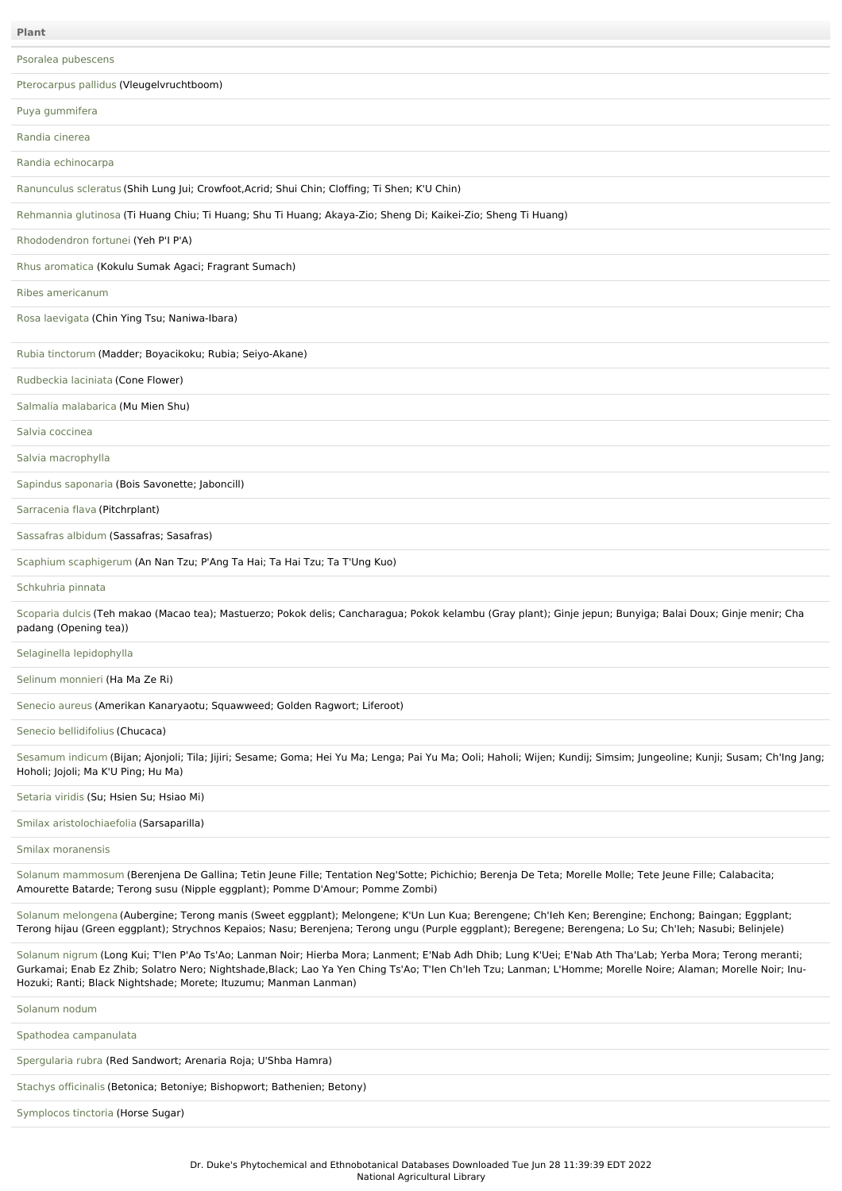Psoralea [pubescens](file:///phytochem/ethnoPlants/show/12201) [Pterocarpus](file:///phytochem/ethnoPlants/show/7949) pallidus (Vleugelvruchtboom) Puya [gummifera](file:///phytochem/ethnoPlants/show/7950) [Randia](file:///phytochem/ethnoPlants/show/7951) cinerea Randia [echinocarpa](file:///phytochem/ethnoPlants/show/6033) [Ranunculus](file:///phytochem/ethnoPlants/show/6288) scleratus (Shih Lung Jui; Crowfoot,Acrid; Shui Chin; Cloffing; Ti Shen; K'U Chin) [Rehmannia](file:///phytochem/ethnoPlants/show/1328) glutinosa (Ti Huang Chiu; Ti Huang; Shu Ti Huang; Akaya-Zio; Sheng Di; Kaikei-Zio; Sheng Ti Huang) [Rhododendron](file:///phytochem/ethnoPlants/show/2585) fortunei (Yeh P'I P'A) Rhus [aromatica](file:///phytochem/ethnoPlants/show/2262) (Kokulu Sumak Agaci; Fragrant Sumach) Ribes [americanum](file:///phytochem/ethnoPlants/show/7952) Rosa [laevigata](file:///phytochem/ethnoPlants/show/3192) (Chin Ying Tsu; Naniwa-Ibara) Rubia [tinctorum](file:///phytochem/ethnoPlants/show/2482) (Madder; Boyacikoku; Rubia; Seiyo-Akane) [Rudbeckia](file:///phytochem/ethnoPlants/show/3872) laciniata (Cone Flower) Salmalia [malabarica](file:///phytochem/ethnoPlants/show/3199) (Mu Mien Shu) Salvia [coccinea](file:///phytochem/ethnoPlants/show/7953) Salvia [macrophylla](file:///phytochem/ethnoPlants/show/7954) Sapindus [saponaria](file:///phytochem/ethnoPlants/show/3204) (Bois Savonette; Jaboncill) [Sarracenia](file:///phytochem/ethnoPlants/show/7955) flava (Pitchrplant) [Sassafras](file:///phytochem/ethnoPlants/show/1341) albidum (Sassafras; Sasafras) Scaphium [scaphigerum](file:///phytochem/ethnoPlants/show/3683) (An Nan Tzu; P'Ang Ta Hai; Ta Hai Tzu; Ta T'Ung Kuo) [Schkuhria](file:///phytochem/ethnoPlants/show/8098) pinnata [Scoparia](file:///phytochem/ethnoPlants/show/539) dulcis (Teh makao (Macao tea); Mastuerzo; Pokok delis; Cancharagua; Pokok kelambu (Gray plant); Ginje jepun; Bunyiga; Balai Doux; Ginje menir; Cha padang (Opening tea)) Selaginella [lepidophylla](file:///phytochem/ethnoPlants/show/3441) Selinum [monnieri](file:///phytochem/ethnoPlants/show/2597) (Ha Ma Ze Ri) [Senecio](file:///phytochem/ethnoPlants/show/1812) aureus (Amerikan Kanaryaotu; Squawweed; Golden Ragwort; Liferoot) Senecio [bellidifolius](file:///phytochem/ethnoPlants/show/3684) (Chucaca) [Sesamum](file:///phytochem/ethnoPlants/show/264) indicum (Bijan; Ajonjoli; Tila; Jijiri; Sesame; Goma; Hei Yu Ma; Lenga; Pai Yu Ma; Ooli; Haholi; Wijen; Kundij; Simsim; Jungeoline; Kunji; Susam; Ch'Ing Jang; Hoholi; Jojoli; Ma K'U Ping; Hu Ma) [Setaria](file:///phytochem/ethnoPlants/show/3685) viridis (Su; Hsien Su; Hsiao Mi) Smilax [aristolochiaefolia](file:///phytochem/ethnoPlants/show/4343) (Sarsaparilla) Smilax [moranensis](file:///phytochem/ethnoPlants/show/7956) Solanum [mammosum](file:///phytochem/ethnoPlants/show/3494) (Berenjena De Gallina; Tetin Jeune Fille; Tentation Neg'Sotte; Pichichio; Berenja De Teta; Morelle Molle; Tete Jeune Fille; Calabacita; Amourette Batarde; Terong susu (Nipple eggplant); Pomme D'Amour; Pomme Zombi) Solanum [melongena](file:///phytochem/ethnoPlants/show/389) (Aubergine; Terong manis (Sweet eggplant); Melongene; K'Un Lun Kua; Berengene; Ch'Ieh Ken; Berengine; Enchong; Baingan; Eggplant; Terong hijau (Green eggplant); Strychnos Kepaios; Nasu; Berenjena; Terong ungu (Purple eggplant); Beregene; Berengena; Lo Su; Ch'Ieh; Nasubi; Belinjele) [Solanum](file:///phytochem/ethnoPlants/show/996) nigrum (Long Kui; T'Ien P'Ao Ts'Ao; Lanman Noir; Hierba Mora; Lanment; E'Nab Adh Dhib; Lung K'Uei; E'Nab Ath Tha'Lab; Yerba Mora; Terong meranti; Gurkamai; Enab Ez Zhib; Solatro Nero; Nightshade,Black; Lao Ya Yen Ching Ts'Ao; T'Ien Ch'Ieh Tzu; Lanman; L'Homme; Morelle Noire; Alaman; Morelle Noir; Inu-Hozuki; Ranti; Black Nightshade; Morete; Ituzumu; Manman Lanman) [Solanum](file:///phytochem/ethnoPlants/show/7957) nodum Spathodea [campanulata](file:///phytochem/ethnoPlants/show/464) [Spergularia](file:///phytochem/ethnoPlants/show/3687) rubra (Red Sandwort; Arenaria Roja; U'Shba Hamra) **Plant**

Stachys [officinalis](file:///phytochem/ethnoPlants/show/3689) (Betonica; Betoniye; Bishopwort; Bathenien; Betony)

[Symplocos](file:///phytochem/ethnoPlants/show/9609) tinctoria (Horse Sugar)